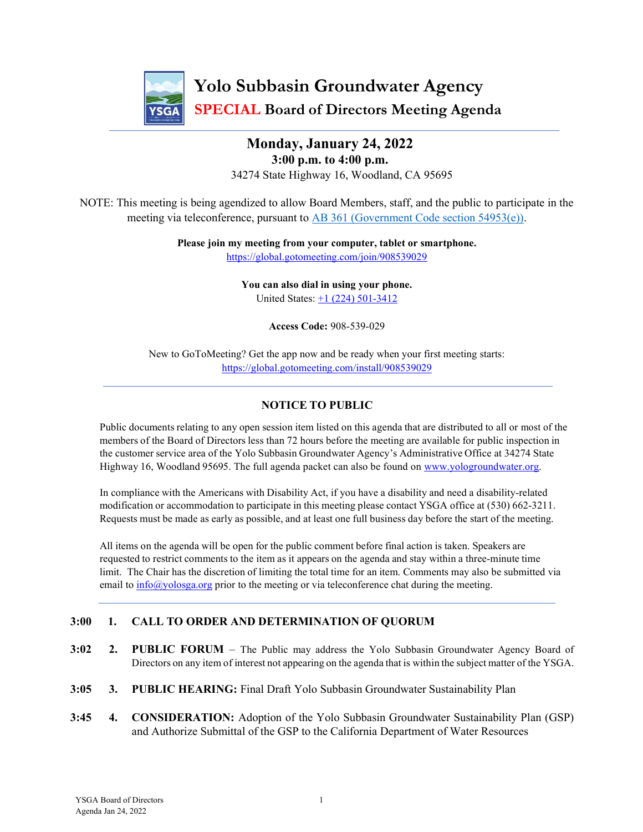

## Monday, January 24, 2022 3:00 p.m. to 4:00 p.m. 34274 State Highway 16, Woodland, CA 95695

NOTE: This meeting is being agendized to allow Board Members, staff, and the public to participate in the meeting via teleconference, pursuant to AB 361 (Government Code section 54953(e)).

> Please join my meeting from your computer, tablet or smartphone. https://global.gotomeeting.com/join/908539029

> > You can also dial in using your phone. United States: +1 (224) 501-3412

> > > Access Code: 908-539-029

New to GoToMeeting? Get the app now and be ready when your first meeting starts: https://global.gotomeeting.com/install/908539029

#### NOTICE TO PUBLIC

Public documents relating to any open session item listed on this agenda that are distributed to all or most of the members of the Board of Directors less than 72 hours before the meeting are available for public inspection in the customer service area of the Yolo Subbasin Groundwater Agency's Administrative Office at 34274 State Highway 16, Woodland 95695. The full agenda packet can also be found on www.yologroundwater.org.

In compliance with the Americans with Disability Act, if you have a disability and need a disability-related modification or accommodation to participate in this meeting please contact YSGA office at (530) 662-3211. Requests must be made as early as possible, and at least one full business day before the start of the meeting.

All items on the agenda will be open for the public comment before final action is taken. Speakers are requested to restrict comments to the item as it appears on the agenda and stay within a three-minute time limit. The Chair has the discretion of limiting the total time for an item. Comments may also be submitted via email to info $\omega$ yolosga.org prior to the meeting or via teleconference chat during the meeting.

#### 3:00 1. CALL TO ORDER AND DETERMINATION OF QUORUM

- 3:02 2. PUBLIC FORUM The Public may address the Yolo Subbasin Groundwater Agency Board of Directors on any item of interest not appearing on the agenda that is within the subject matter of the YSGA.
- 3:05 3. PUBLIC HEARING: Final Draft Yolo Subbasin Groundwater Sustainability Plan
- 3:45 4. CONSIDERATION: Adoption of the Yolo Subbasin Groundwater Sustainability Plan (GSP) and Authorize Submittal of the GSP to the California Department of Water Resources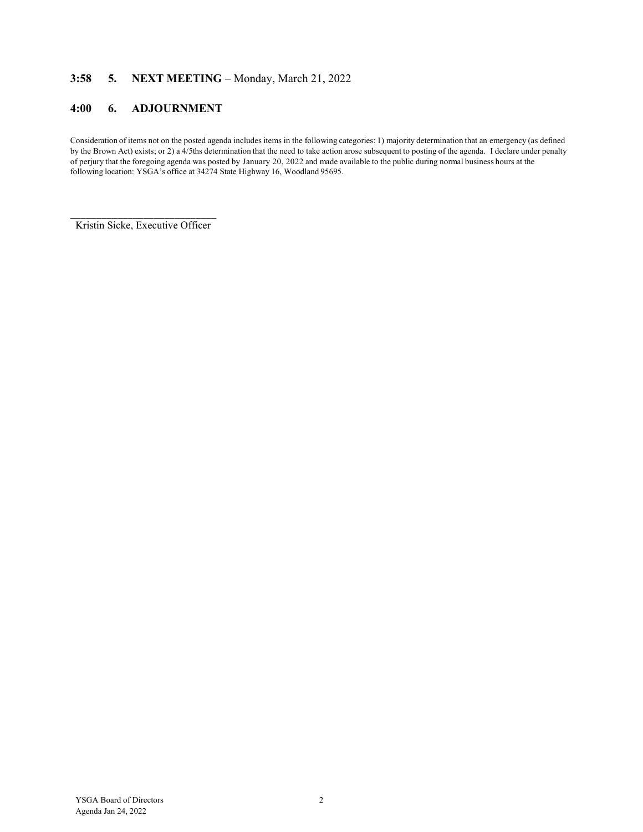#### 3:58 5. NEXT MEETING – Monday, March 21, 2022

#### 4:00 6. ADJOURNMENT

Consideration of items not on the posted agenda includes items in the following categories: 1) majority determination that an emergency (as defined by the Brown Act) exists; or 2) a 4/5ths determination that the need to take action arose subsequent to posting of the agenda. I declare under penalty of perjury that the foregoing agenda was posted by January 20, 2022 and made available to the public during normal business hours at the following location: YSGA's office at 34274 State Highway 16, Woodland 95695.

\_\_\_\_\_\_\_\_\_\_\_\_\_\_\_\_\_\_\_\_\_\_\_\_\_\_\_\_ Kristin Sicke, Executive Officer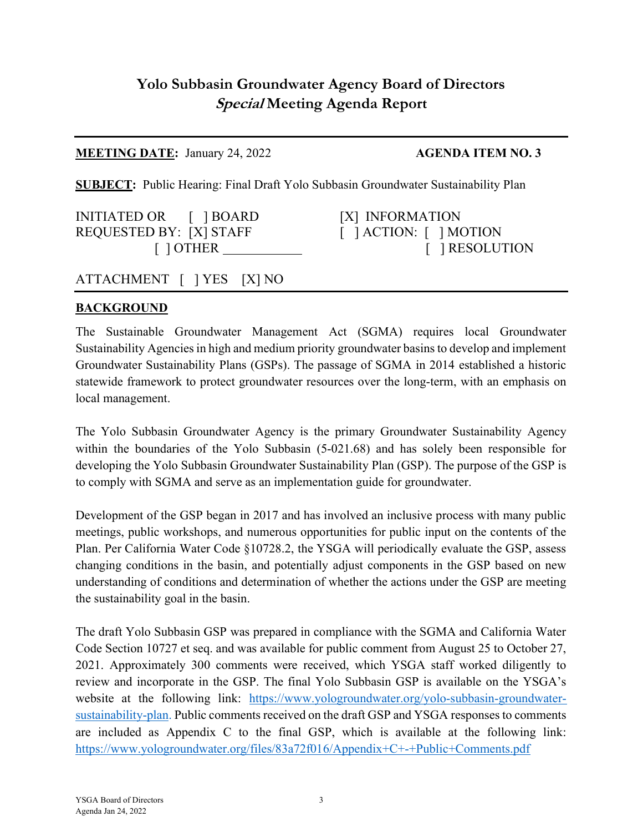# Yolo Subbasin Groundwater Agency Board of Directors Special Meeting Agenda Report

### **MEETING DATE:** January 24, 2022 **AGENDA ITEM NO. 3**

SUBJECT: Public Hearing: Final Draft Yolo Subbasin Groundwater Sustainability Plan

INITIATED OR [ ] BOARD [X] INFORMATION REQUESTED BY: [X] STAFF [ ] ACTION: [ ] MOTION

[ ] OTHER [ ] RESOLUTION

# ATTACHMENT [ ] YES [X] NO

## **BACKGROUND**

The Sustainable Groundwater Management Act (SGMA) requires local Groundwater Sustainability Agencies in high and medium priority groundwater basins to develop and implement Groundwater Sustainability Plans (GSPs). The passage of SGMA in 2014 established a historic statewide framework to protect groundwater resources over the long-term, with an emphasis on local management.

The Yolo Subbasin Groundwater Agency is the primary Groundwater Sustainability Agency within the boundaries of the Yolo Subbasin (5-021.68) and has solely been responsible for developing the Yolo Subbasin Groundwater Sustainability Plan (GSP). The purpose of the GSP is to comply with SGMA and serve as an implementation guide for groundwater.

Development of the GSP began in 2017 and has involved an inclusive process with many public meetings, public workshops, and numerous opportunities for public input on the contents of the Plan. Per California Water Code §10728.2, the YSGA will periodically evaluate the GSP, assess changing conditions in the basin, and potentially adjust components in the GSP based on new understanding of conditions and determination of whether the actions under the GSP are meeting the sustainability goal in the basin.

The draft Yolo Subbasin GSP was prepared in compliance with the SGMA and California Water Code Section 10727 et seq. and was available for public comment from August 25 to October 27, 2021. Approximately 300 comments were received, which YSGA staff worked diligently to review and incorporate in the GSP. The final Yolo Subbasin GSP is available on the YSGA's website at the following link: https://www.yologroundwater.org/yolo-subbasin-groundwatersustainability-plan. Public comments received on the draft GSP and YSGA responses to comments are included as Appendix C to the final GSP, which is available at the following link: https://www.yologroundwater.org/files/83a72f016/Appendix+C+-+Public+Comments.pdf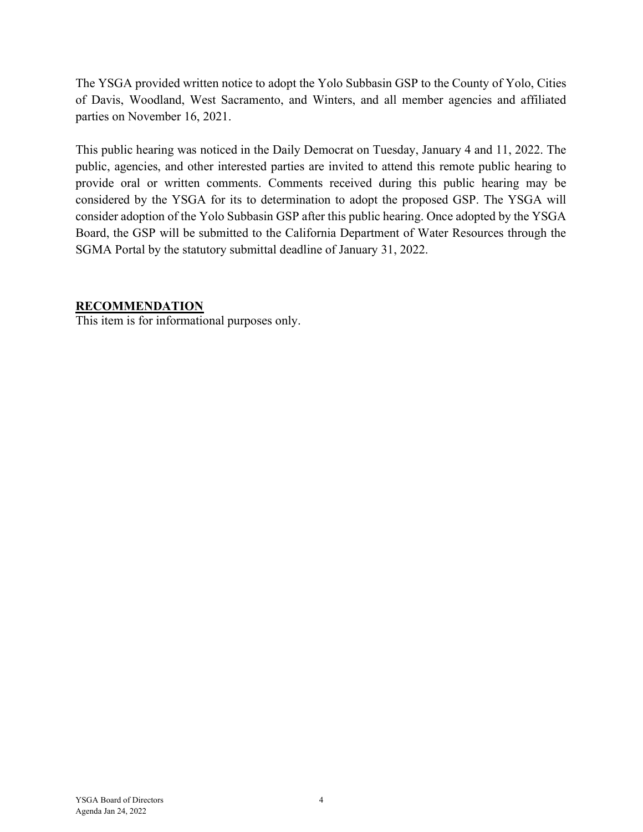The YSGA provided written notice to adopt the Yolo Subbasin GSP to the County of Yolo, Cities of Davis, Woodland, West Sacramento, and Winters, and all member agencies and affiliated parties on November 16, 2021.

This public hearing was noticed in the Daily Democrat on Tuesday, January 4 and 11, 2022. The public, agencies, and other interested parties are invited to attend this remote public hearing to provide oral or written comments. Comments received during this public hearing may be considered by the YSGA for its to determination to adopt the proposed GSP. The YSGA will consider adoption of the Yolo Subbasin GSP after this public hearing. Once adopted by the YSGA Board, the GSP will be submitted to the California Department of Water Resources through the SGMA Portal by the statutory submittal deadline of January 31, 2022.

### RECOMMENDATION

This item is for informational purposes only.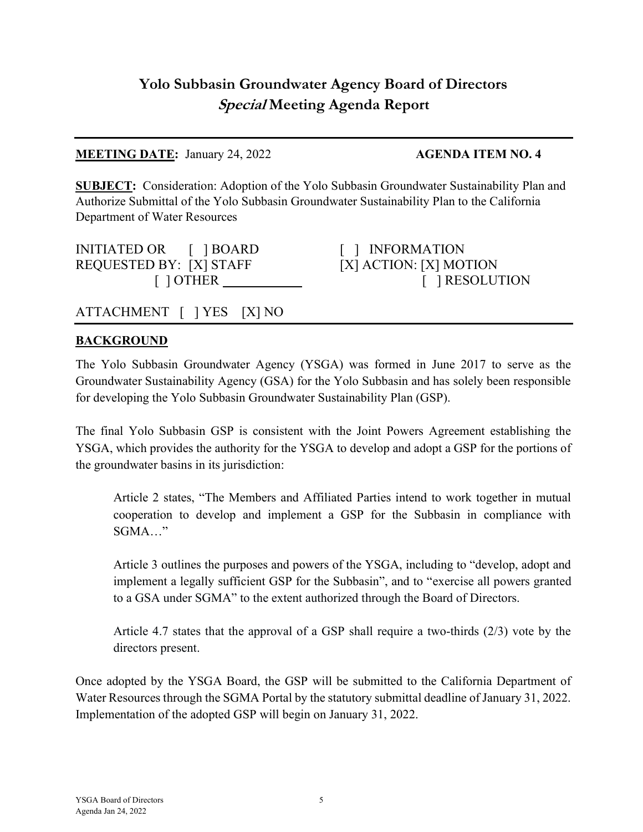# Yolo Subbasin Groundwater Agency Board of Directors Special Meeting Agenda Report

## MEETING DATE: January 24, 2022 AGENDA ITEM NO. 4

SUBJECT: Consideration: Adoption of the Yolo Subbasin Groundwater Sustainability Plan and Authorize Submittal of the Yolo Subbasin Groundwater Sustainability Plan to the California Department of Water Resources

INITIATED OR [ ] BOARD [ ] INFORMATION REQUESTED BY: [X] STAFF [X] ACTION: [X] MOTION

[ ] OTHER [ ] RESOLUTION

# ATTACHMENT [ ] YES [X] NO

## **BACKGROUND**

The Yolo Subbasin Groundwater Agency (YSGA) was formed in June 2017 to serve as the Groundwater Sustainability Agency (GSA) for the Yolo Subbasin and has solely been responsible for developing the Yolo Subbasin Groundwater Sustainability Plan (GSP).

The final Yolo Subbasin GSP is consistent with the Joint Powers Agreement establishing the YSGA, which provides the authority for the YSGA to develop and adopt a GSP for the portions of the groundwater basins in its jurisdiction:

Article 2 states, "The Members and Affiliated Parties intend to work together in mutual cooperation to develop and implement a GSP for the Subbasin in compliance with SGMA…"

Article 3 outlines the purposes and powers of the YSGA, including to "develop, adopt and implement a legally sufficient GSP for the Subbasin", and to "exercise all powers granted to a GSA under SGMA" to the extent authorized through the Board of Directors.

Article 4.7 states that the approval of a GSP shall require a two-thirds (2/3) vote by the directors present.

Once adopted by the YSGA Board, the GSP will be submitted to the California Department of Water Resources through the SGMA Portal by the statutory submittal deadline of January 31, 2022. Implementation of the adopted GSP will begin on January 31, 2022.